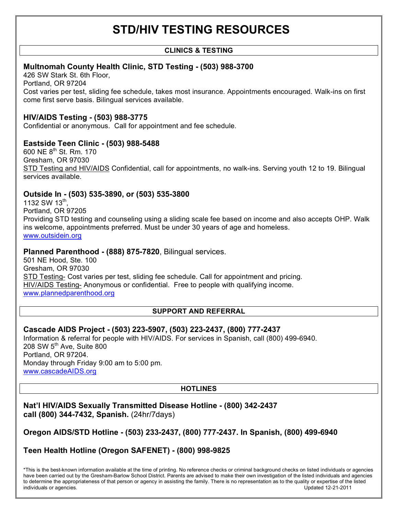# **STD/HIV TESTING RESOURCES**

## **CLINICS & TESTING**

# **Multnomah County Health Clinic, STD Testing - (503) 988-3700**

426 SW Stark St. 6th Floor, Portland, OR 97204 Cost varies per test, sliding fee schedule, takes most insurance. Appointments encouraged. Walk-ins on first come first serve basis. Bilingual services available.

## **HIV/AIDS Testing - (503) 988-3775**

Confidential or anonymous. Call for appointment and fee schedule.

## **Eastside Teen Clinic - (503) 988-5488**

600 NE  $8^{th}$  St. Rm, 170 Gresham, OR 97030 STD Testing and HIV/AIDS Confidential, call for appointments, no walk-ins. Serving youth 12 to 19. Bilingual services available.

## **Outside In - (503) 535-3890, or (503) 535-3800**

1132 SW 13<sup>th</sup>. Portland, OR 97205 Providing STD testing and counseling using a sliding scale fee based on income and also accepts OHP. Walk ins welcome, appointments preferred. Must be under 30 years of age and homeless. www.outsidein.org

## **Planned Parenthood - (888) 875-7820**, Bilingual services.

501 NE Hood, Ste. 100 Gresham, OR 97030 STD Testing- Cost varies per test, sliding fee schedule. Call for appointment and pricing. HIV/AIDS Testing- Anonymous or confidential. Free to people with qualifying income. www.plannedparenthood.org

## **SUPPORT AND REFERRAL**

# **Cascade AIDS Project - (503) 223-5907, (503) 223-2437, (800) 777-2437**

Information & referral for people with HIV/AIDS. For services in Spanish, call (800) 499-6940. 208 SW 5th Ave, Suite 800 Portland, OR 97204. Monday through Friday 9:00 am to 5:00 pm. www.cascadeAIDS.org

## **HOTLINES**

## **Nat'l HIV/AIDS Sexually Transmitted Disease Hotline - (800) 342-2437 call (800) 344-7432, Spanish.** (24hr/7days)

# **Oregon AIDS/STD Hotline - (503) 233-2437, (800) 777-2437. In Spanish, (800) 499-6940**

# **Teen Health Hotline (Oregon SAFENET) - (800) 998-9825**

\*This is the best-known information available at the time of printing. No reference checks or criminal background checks on listed individuals or agencies have been carried out by the Gresham-Barlow School District. Parents are advised to make their own investigation of the listed individuals and agencies to determine the appropriateness of that person or agency in assisting the family. There is no representation as to the quality or expertise of the listed individuals or agencies. Updated 12-21-2011